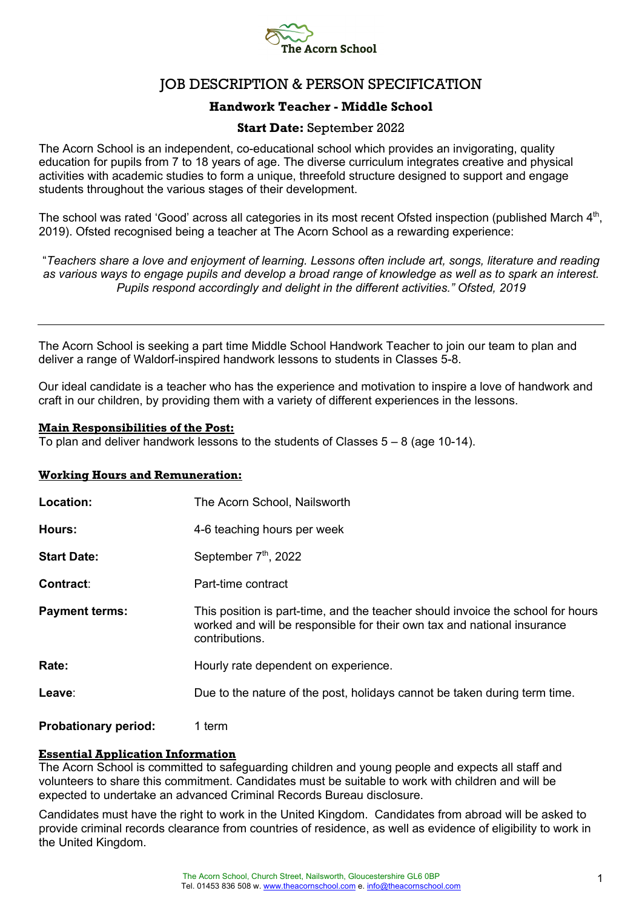

# JOB DESCRIPTION & PERSON SPECIFICATION

# **Handwork Teacher - Middle School**

# **Start Date:** September 2022

The Acorn School is an independent, co-educational school which provides an invigorating, quality education for pupils from 7 to 18 years of age. The diverse curriculum integrates creative and physical activities with academic studies to form a unique, threefold structure designed to support and engage students throughout the various stages of their development.

The school was rated 'Good' across all categories in its most recent Ofsted inspection (published March 4<sup>th</sup>, 2019). Ofsted recognised being a teacher at The Acorn School as a rewarding experience:

"*Teachers share a love and enjoyment of learning. Lessons often include art, songs, literature and reading as various ways to engage pupils and develop a broad range of knowledge as well as to spark an interest. Pupils respond accordingly and delight in the different activities." Ofsted, 2019*

The Acorn School is seeking a part time Middle School Handwork Teacher to join our team to plan and deliver a range of Waldorf-inspired handwork lessons to students in Classes 5-8.

Our ideal candidate is a teacher who has the experience and motivation to inspire a love of handwork and craft in our children, by providing them with a variety of different experiences in the lessons.

#### **Main Responsibilities of the Post:**

To plan and deliver handwork lessons to the students of Classes  $5 - 8$  (age 10-14).

#### **Working Hours and Remuneration:**

| Location:                   | The Acorn School, Nailsworth                                                                                                                                                 |
|-----------------------------|------------------------------------------------------------------------------------------------------------------------------------------------------------------------------|
| Hours:                      | 4-6 teaching hours per week                                                                                                                                                  |
| <b>Start Date:</b>          | September 7 <sup>th</sup> , 2022                                                                                                                                             |
| Contract:                   | Part-time contract                                                                                                                                                           |
| <b>Payment terms:</b>       | This position is part-time, and the teacher should invoice the school for hours<br>worked and will be responsible for their own tax and national insurance<br>contributions. |
| Rate:                       | Hourly rate dependent on experience.                                                                                                                                         |
| Leave:                      | Due to the nature of the post, holidays cannot be taken during term time.                                                                                                    |
| <b>Probationary period:</b> | 1 term                                                                                                                                                                       |

## **Essential Application Information**

The Acorn School is committed to safeguarding children and young people and expects all staff and volunteers to share this commitment. Candidates must be suitable to work with children and will be expected to undertake an advanced Criminal Records Bureau disclosure.

Candidates must have the right to work in the United Kingdom. Candidates from abroad will be asked to provide criminal records clearance from countries of residence, as well as evidence of eligibility to work in the United Kingdom.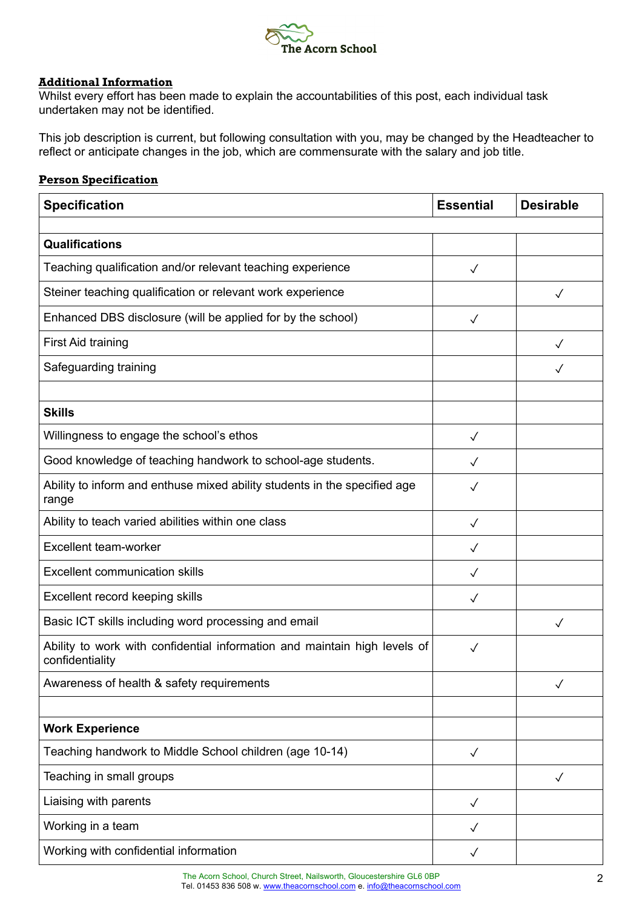

## **Additional Information**

Whilst every effort has been made to explain the accountabilities of this post, each individual task undertaken may not be identified.

This job description is current, but following consultation with you, may be changed by the Headteacher to reflect or anticipate changes in the job, which are commensurate with the salary and job title.

# **Person Specification**

| <b>Specification</b>                                                                         | <b>Essential</b> | <b>Desirable</b> |
|----------------------------------------------------------------------------------------------|------------------|------------------|
|                                                                                              |                  |                  |
| <b>Qualifications</b>                                                                        |                  |                  |
| Teaching qualification and/or relevant teaching experience                                   | $\checkmark$     |                  |
| Steiner teaching qualification or relevant work experience                                   |                  | $\checkmark$     |
| Enhanced DBS disclosure (will be applied for by the school)                                  | $\checkmark$     |                  |
| <b>First Aid training</b>                                                                    |                  |                  |
| Safeguarding training                                                                        |                  |                  |
|                                                                                              |                  |                  |
| <b>Skills</b>                                                                                |                  |                  |
| Willingness to engage the school's ethos                                                     | $\checkmark$     |                  |
| Good knowledge of teaching handwork to school-age students.                                  | $\checkmark$     |                  |
| Ability to inform and enthuse mixed ability students in the specified age<br>range           | $\checkmark$     |                  |
| Ability to teach varied abilities within one class                                           | ✓                |                  |
| Excellent team-worker                                                                        | $\sqrt{}$        |                  |
| <b>Excellent communication skills</b>                                                        | $\checkmark$     |                  |
| Excellent record keeping skills                                                              | $\checkmark$     |                  |
| Basic ICT skills including word processing and email                                         |                  | ✓                |
| Ability to work with confidential information and maintain high levels of<br>confidentiality | ✓                |                  |
| Awareness of health & safety requirements                                                    |                  | $\checkmark$     |
|                                                                                              |                  |                  |
| <b>Work Experience</b>                                                                       |                  |                  |
| Teaching handwork to Middle School children (age 10-14)                                      | $\checkmark$     |                  |
| Teaching in small groups                                                                     |                  | $\checkmark$     |
| Liaising with parents                                                                        | $\checkmark$     |                  |
| Working in a team                                                                            | ✓                |                  |
| Working with confidential information                                                        | $\checkmark$     |                  |